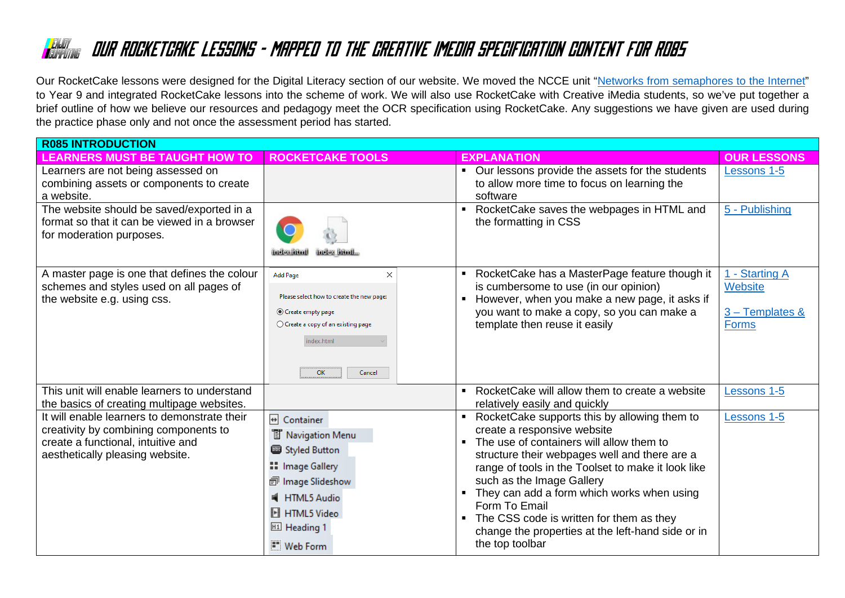Our RocketCake lessons were designed for the Digital Literacy section of our website. We moved the NCCE unit ["Networks from semaphores to the Internet"](https://teachcomputing.org/curriculum/key-stage-3/networks-from-semaphores-to-the-internet) to Year 9 and integrated RocketCake lessons into the scheme of work. We will also use RocketCake with Creative iMedia students, so we've put together a brief outline of how we believe our resources and pedagogy meet the OCR specification using RocketCake. Any suggestions we have given are used during the practice phase only and not once the assessment period has started.

| <b>R085 INTRODUCTION</b>                                                                                                                                       |                                                                                                                                                                                             |                                                                                                                                                                                                                                                                                                                                                                                                                                                                  |                                                                     |  |  |
|----------------------------------------------------------------------------------------------------------------------------------------------------------------|---------------------------------------------------------------------------------------------------------------------------------------------------------------------------------------------|------------------------------------------------------------------------------------------------------------------------------------------------------------------------------------------------------------------------------------------------------------------------------------------------------------------------------------------------------------------------------------------------------------------------------------------------------------------|---------------------------------------------------------------------|--|--|
| <b>LEARNERS MUST BE TAUGHT HOW TO</b>                                                                                                                          | <b>ROCKETCAKE TOOLS</b>                                                                                                                                                                     | <b>EXPLANATION</b>                                                                                                                                                                                                                                                                                                                                                                                                                                               | <b>OUR LESSONS</b>                                                  |  |  |
| Learners are not being assessed on<br>combining assets or components to create<br>a website.                                                                   |                                                                                                                                                                                             | • Our lessons provide the assets for the students<br>to allow more time to focus on learning the<br>software                                                                                                                                                                                                                                                                                                                                                     | Lessons 1-5                                                         |  |  |
| The website should be saved/exported in a<br>format so that it can be viewed in a browser<br>for moderation purposes.                                          | <b>Index litral</b><br><b>Index litted</b>                                                                                                                                                  | RocketCake saves the webpages in HTML and<br>٠<br>the formatting in CSS                                                                                                                                                                                                                                                                                                                                                                                          | 5 - Publishing                                                      |  |  |
| A master page is one that defines the colour<br>schemes and styles used on all pages of<br>the website e.g. using css.                                         | <b>Add Page</b><br>$\times$<br>Please select how to create the new page:<br>◎ Create empty page<br>$\bigcirc$ Create a copy of an existing page<br>index.html<br><b>OK</b><br>Cancel        | RocketCake has a MasterPage feature though it<br>is cumbersome to use (in our opinion)<br>However, when you make a new page, it asks if<br>$\blacksquare$<br>you want to make a copy, so you can make a<br>template then reuse it easily                                                                                                                                                                                                                         | 1 - Starting A<br><b>Website</b><br>3 - Templates &<br><b>Forms</b> |  |  |
| This unit will enable learners to understand<br>the basics of creating multipage websites.                                                                     |                                                                                                                                                                                             | RocketCake will allow them to create a website<br>relatively easily and quickly                                                                                                                                                                                                                                                                                                                                                                                  | Lessons 1-5                                                         |  |  |
| It will enable learners to demonstrate their<br>creativity by combining components to<br>create a functional, intuitive and<br>aesthetically pleasing website. | + Container<br><sup>T</sup> Navigation Menu<br>Styled Button<br>:: Image Gallery<br>司 Image Slideshow<br>HTML5 Audio<br><b>H</b> HTML5 Video<br>H <sub>1</sub> Heading 1<br><b>Web Form</b> | RocketCake supports this by allowing them to<br>$\blacksquare$<br>create a responsive website<br>The use of containers will allow them to<br>structure their webpages well and there are a<br>range of tools in the Toolset to make it look like<br>such as the Image Gallery<br>They can add a form which works when using<br>Form To Email<br>The CSS code is written for them as they<br>change the properties at the left-hand side or in<br>the top toolbar | Lessons 1-5                                                         |  |  |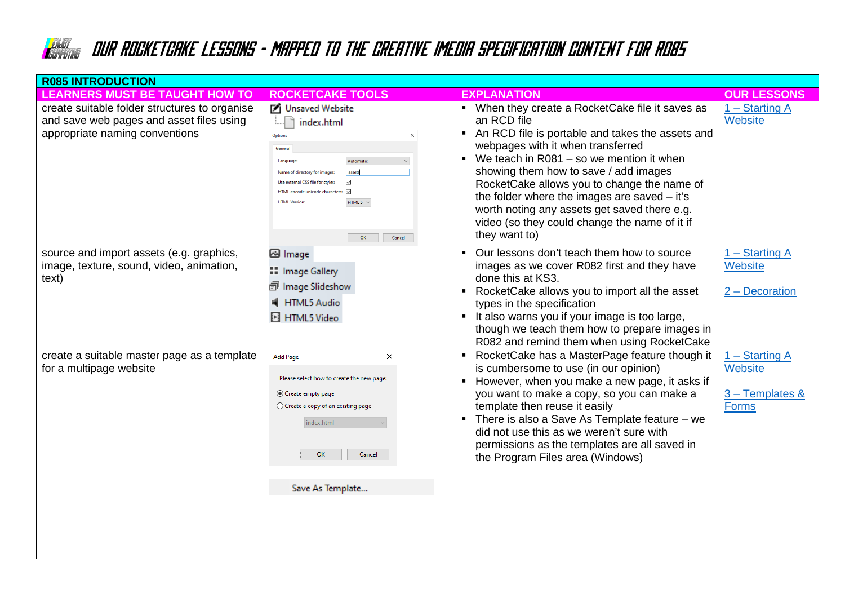| <b>R085 INTRODUCTION</b>                                                                                                    |                                                                                                                                                                                                                                                                           |                                                                                                                                                                                                                                                                                                                                                                                                                                                                  |                                                                |  |  |
|-----------------------------------------------------------------------------------------------------------------------------|---------------------------------------------------------------------------------------------------------------------------------------------------------------------------------------------------------------------------------------------------------------------------|------------------------------------------------------------------------------------------------------------------------------------------------------------------------------------------------------------------------------------------------------------------------------------------------------------------------------------------------------------------------------------------------------------------------------------------------------------------|----------------------------------------------------------------|--|--|
| <b>LEARNERS MUST BE TAUGHT HOW TO</b>                                                                                       | <b>ROCKETCAKE TOOLS</b>                                                                                                                                                                                                                                                   | <b>EXPLANATION</b>                                                                                                                                                                                                                                                                                                                                                                                                                                               | <b>OUR LESSONS</b>                                             |  |  |
| create suitable folder structures to organise<br>and save web pages and asset files using<br>appropriate naming conventions | ■ Unsaved Website<br>index.html<br>Options<br>General<br>Automatic<br>Language<br>assets<br>Name of directory for images:<br>☑<br>Use external CSS file for styles:<br>HTML encode unicode characters: $\boxdot$<br>HTML 5 $\sim$<br><b>HTML Version:</b><br>Cancel<br>OK | • When they create a RocketCake file it saves as<br>an RCD file<br>An RCD file is portable and takes the assets and<br>webpages with it when transferred<br>We teach in R081 – so we mention it when<br>showing them how to save / add images<br>RocketCake allows you to change the name of<br>the folder where the images are saved $-$ it's<br>worth noting any assets get saved there e.g.<br>video (so they could change the name of it if<br>they want to) | $1 -$ Starting A<br>Website                                    |  |  |
| source and import assets (e.g. graphics,<br>image, texture, sound, video, animation,<br>text)                               | ⊠ Image<br><b>::</b> Image Gallery<br>司 Image Slideshow<br>HTML5 Audio<br>H HTML5 Video                                                                                                                                                                                   | Our lessons don't teach them how to source<br>$\blacksquare$<br>images as we cover R082 first and they have<br>done this at KS3.<br>RocketCake allows you to import all the asset<br>$\blacksquare$<br>types in the specification<br>It also warns you if your image is too large,<br>$\blacksquare$<br>though we teach them how to prepare images in<br>R082 and remind them when using RocketCake                                                              | $1 -$ Starting A<br>Website<br>$2 -$ Decoration                |  |  |
| create a suitable master page as a template<br>for a multipage website                                                      | $\times$<br><b>Add Page</b><br>Please select how to create the new page:<br>Create empty page<br>$\bigcirc$ Create a copy of an existing page<br>index.html<br>OK<br>Cancel<br>Save As Template                                                                           | RocketCake has a MasterPage feature though it<br>$\blacksquare$<br>is cumbersome to use (in our opinion)<br>However, when you make a new page, it asks if<br>you want to make a copy, so you can make a<br>template then reuse it easily<br>There is also a Save As Template feature – we<br>did not use this as we weren't sure with<br>permissions as the templates are all saved in<br>the Program Files area (Windows)                                       | $1 -$ Starting A<br>Website<br>3 - Templates &<br><b>Forms</b> |  |  |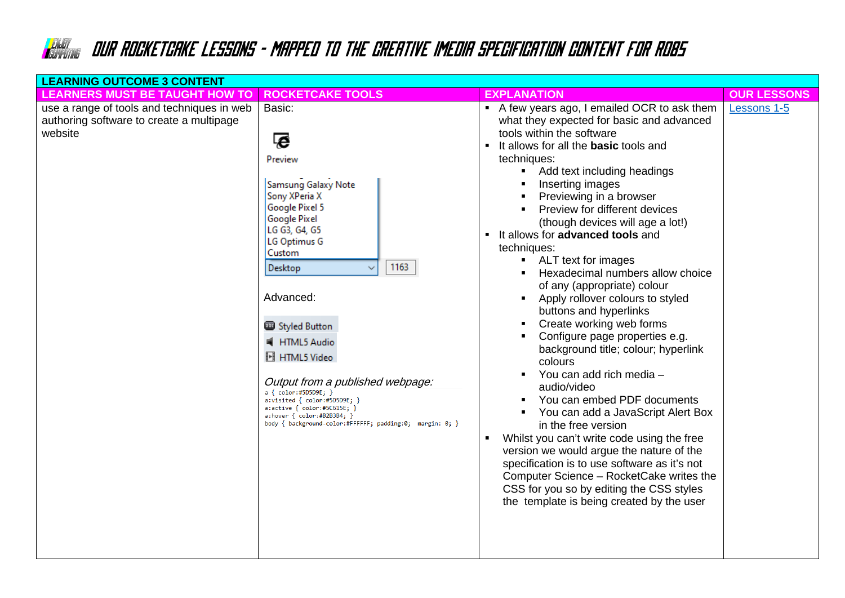| <b>LEARNING OUTCOME 3 CONTENT</b>                                                                 |                                                                                                                                                                                                                                                                                                                                                                                                                                                                   |                                                                                                                                                                                                                                                                                                                                                                                                                                                                                                                                                                                                                                                                                                                                                                                                                                                                                                                                                                                                                                                                                                                                                                        |                    |  |  |
|---------------------------------------------------------------------------------------------------|-------------------------------------------------------------------------------------------------------------------------------------------------------------------------------------------------------------------------------------------------------------------------------------------------------------------------------------------------------------------------------------------------------------------------------------------------------------------|------------------------------------------------------------------------------------------------------------------------------------------------------------------------------------------------------------------------------------------------------------------------------------------------------------------------------------------------------------------------------------------------------------------------------------------------------------------------------------------------------------------------------------------------------------------------------------------------------------------------------------------------------------------------------------------------------------------------------------------------------------------------------------------------------------------------------------------------------------------------------------------------------------------------------------------------------------------------------------------------------------------------------------------------------------------------------------------------------------------------------------------------------------------------|--------------------|--|--|
| <b>LEARNERS MUST BE TAUGHT HOW TO</b>                                                             | <b>ROCKETCAKE TOOLS</b>                                                                                                                                                                                                                                                                                                                                                                                                                                           | <b>EXPLANATION</b>                                                                                                                                                                                                                                                                                                                                                                                                                                                                                                                                                                                                                                                                                                                                                                                                                                                                                                                                                                                                                                                                                                                                                     | <b>OUR LESSONS</b> |  |  |
| use a range of tools and techniques in web<br>authoring software to create a multipage<br>website | Basic:<br>ē<br>Preview<br>Samsung Galaxy Note<br>Sony XPeria X<br>Google Pixel 5<br><b>Google Pixel</b><br>LG G3, G4, G5<br>LG Optimus G<br>Custom<br>1163<br>Desktop<br>Advanced:<br>Styled Button<br>HTML5 Audio<br><b>H</b> HTML5 Video<br>Output from a published webpage:<br>a { color:#5D5D9E; }<br>a:visited { color:#5D5D9E; }<br>$a:active { color:#5C615E; }$<br>a:hover { color:#B2B3B4; }<br>body { background-color:#FFFFFF; padding:0; margin: 0; } | A few years ago, I emailed OCR to ask them<br>what they expected for basic and advanced<br>tools within the software<br>It allows for all the <b>basic</b> tools and<br>techniques:<br>Add text including headings<br>٠<br>Inserting images<br>Previewing in a browser<br>Preview for different devices<br>(though devices will age a lot!)<br>It allows for advanced tools and<br>٠<br>techniques:<br>ALT text for images<br>$\blacksquare$<br>Hexadecimal numbers allow choice<br>$\blacksquare$<br>of any (appropriate) colour<br>Apply rollover colours to styled<br>٠<br>buttons and hyperlinks<br>Create working web forms<br>$\blacksquare$<br>Configure page properties e.g.<br>٠<br>background title; colour; hyperlink<br>colours<br>You can add rich media -<br>audio/video<br>You can embed PDF documents<br>٠<br>You can add a JavaScript Alert Box<br>in the free version<br>Whilst you can't write code using the free<br>version we would argue the nature of the<br>specification is to use software as it's not<br>Computer Science - RocketCake writes the<br>CSS for you so by editing the CSS styles<br>the template is being created by the user | Lessons 1-5        |  |  |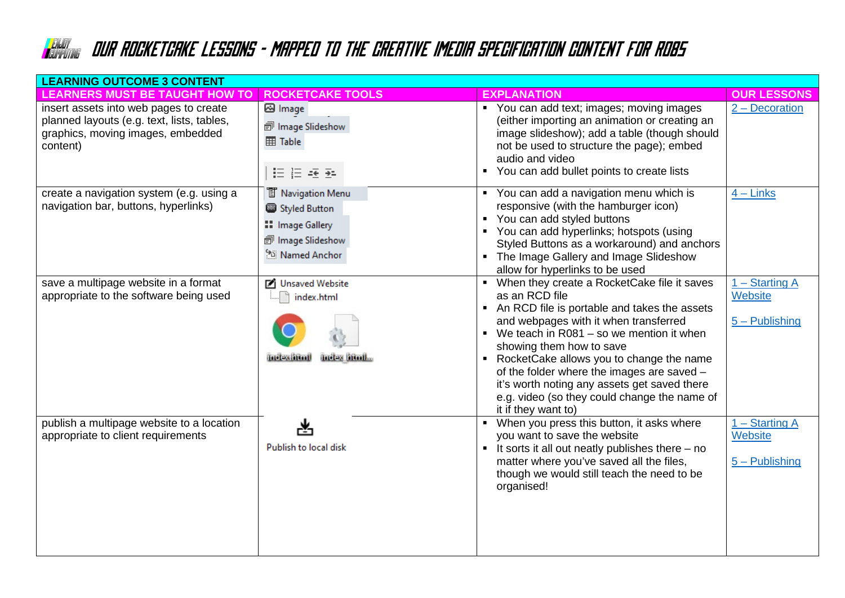| <b>LEARNING OUTCOME 3 CONTENT</b>                                                                                                     |                                                                                                    |                                                                                                                                                                                                                                                                                                                                                                                                                                                         |                                                        |  |  |
|---------------------------------------------------------------------------------------------------------------------------------------|----------------------------------------------------------------------------------------------------|---------------------------------------------------------------------------------------------------------------------------------------------------------------------------------------------------------------------------------------------------------------------------------------------------------------------------------------------------------------------------------------------------------------------------------------------------------|--------------------------------------------------------|--|--|
| <b>LEARNERS MUST BE TAUGHT HOW TO</b>                                                                                                 | <b>ROCKETCAKE TOOLS</b>                                                                            | <b>EXPLANATION</b>                                                                                                                                                                                                                                                                                                                                                                                                                                      | <b>OUR LESSONS</b>                                     |  |  |
| insert assets into web pages to create<br>planned layouts (e.g. text, lists, tables,<br>graphics, moving images, embedded<br>content) | <b>⊠</b> Image<br>司 Image Slideshow<br><b>EE</b> Table<br>细细细                                      | • You can add text; images; moving images<br>(either importing an animation or creating an<br>image slideshow); add a table (though should<br>not be used to structure the page); embed<br>audio and video<br>You can add bullet points to create lists<br>$\blacksquare$                                                                                                                                                                               | 2 – Decoration                                         |  |  |
| create a navigation system (e.g. using a<br>navigation bar, buttons, hyperlinks)                                                      | <b>T</b> Navigation Menu<br>Styled Button<br>:: Image Gallery<br>司 Image Slideshow<br>Named Anchor | • You can add a navigation menu which is<br>responsive (with the hamburger icon)<br>• You can add styled buttons<br>• You can add hyperlinks; hotspots (using<br>Styled Buttons as a workaround) and anchors<br>• The Image Gallery and Image Slideshow<br>allow for hyperlinks to be used                                                                                                                                                              | $4 -$ Links                                            |  |  |
| save a multipage website in a format<br>appropriate to the software being used                                                        | ■ Unsaved Website<br>index.html<br><b>Index html</b><br>index literil                              | • When they create a RocketCake file it saves<br>as an RCD file<br>An RCD file is portable and takes the assets<br>and webpages with it when transferred<br>• We teach in $R081 -$ so we mention it when<br>showing them how to save<br>• RocketCake allows you to change the name<br>of the folder where the images are saved -<br>it's worth noting any assets get saved there<br>e.g. video (so they could change the name of<br>it if they want to) | $1 - Starting A$<br><b>Website</b><br>$5 -$ Publishing |  |  |
| publish a multipage website to a location<br>appropriate to client requirements                                                       | ᆇ<br>Publish to local disk                                                                         | When you press this button, it asks where<br>you want to save the website<br>$\blacksquare$ It sorts it all out neatly publishes there $-$ no<br>matter where you've saved all the files,<br>though we would still teach the need to be<br>organised!                                                                                                                                                                                                   | $1 - Starting A$<br>Website<br>$5 -$ Publishing        |  |  |